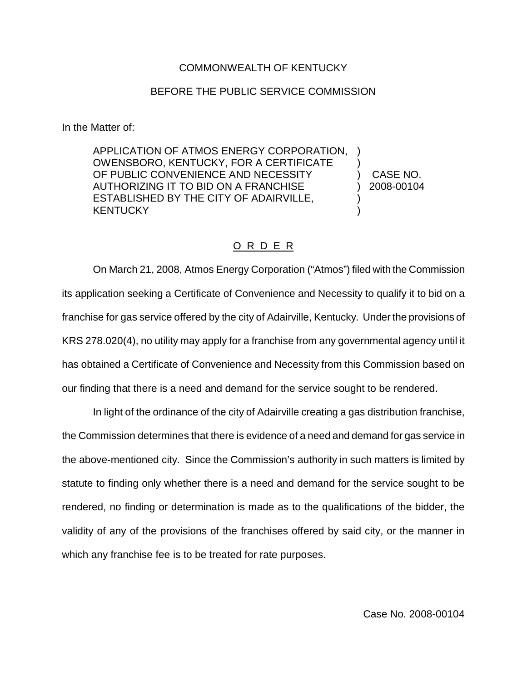## COMMONWEALTH OF KENTUCKY

## BEFORE THE PUBLIC SERVICE COMMISSION

In the Matter of:

APPLICATION OF ATMOS ENERGY CORPORATION, OWENSBORO, KENTUCKY, FOR A CERTIFICATE OF PUBLIC CONVENIENCE AND NECESSITY AUTHORIZING IT TO BID ON A FRANCHISE ESTABLISHED BY THE CITY OF ADAIRVILLE, **KENTUCKY** ) ) ) )

) CASE NO. ) 2008-00104

## O R D E R

On March 21, 2008, Atmos Energy Corporation ("Atmos") filed with the Commission its application seeking a Certificate of Convenience and Necessity to qualify it to bid on a franchise for gas service offered by the city of Adairville, Kentucky. Under the provisions of KRS 278.020(4), no utility may apply for a franchise from any governmental agency until it has obtained a Certificate of Convenience and Necessity from this Commission based on our finding that there is a need and demand for the service sought to be rendered.

In light of the ordinance of the city of Adairville creating a gas distribution franchise, the Commission determines that there is evidence of a need and demand for gas service in the above-mentioned city. Since the Commission's authority in such matters is limited by statute to finding only whether there is a need and demand for the service sought to be rendered, no finding or determination is made as to the qualifications of the bidder, the validity of any of the provisions of the franchises offered by said city, or the manner in which any franchise fee is to be treated for rate purposes.